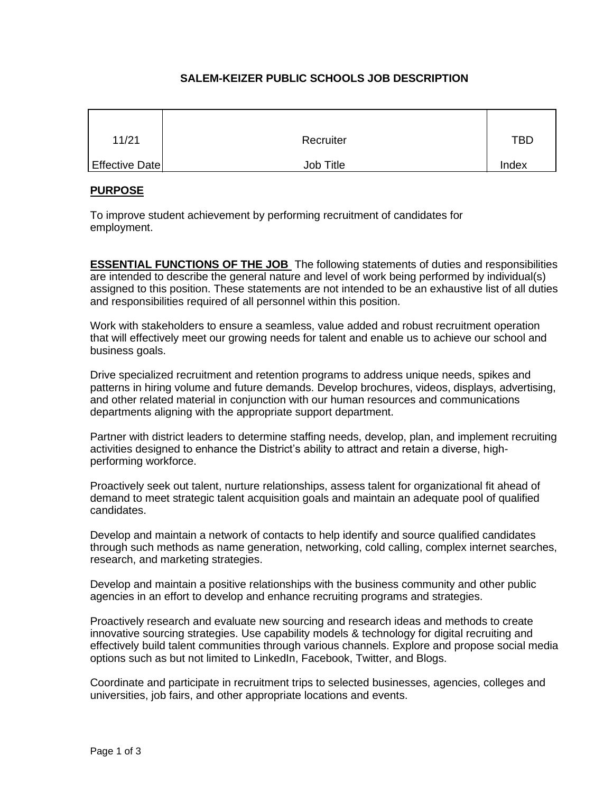# **SALEM-KEIZER PUBLIC SCHOOLS JOB DESCRIPTION**

| 11/21          | Recruiter        | <b>TBD</b> |
|----------------|------------------|------------|
| Effective Date | <b>Job Title</b> | Index      |

## **PURPOSE**

To improve student achievement by performing recruitment of candidates for employment.

**ESSENTIAL FUNCTIONS OF THE JOB** The following statements of duties and responsibilities are intended to describe the general nature and level of work being performed by individual(s) assigned to this position. These statements are not intended to be an exhaustive list of all duties and responsibilities required of all personnel within this position.

Work with stakeholders to ensure a seamless, value added and robust recruitment operation that will effectively meet our growing needs for talent and enable us to achieve our school and business goals.

Drive specialized recruitment and retention programs to address unique needs, spikes and patterns in hiring volume and future demands. Develop brochures, videos, displays, advertising, and other related material in conjunction with our human resources and communications departments aligning with the appropriate support department.

Partner with district leaders to determine staffing needs, develop, plan, and implement recruiting activities designed to enhance the District's ability to attract and retain a diverse, highperforming workforce.

Proactively seek out talent, nurture relationships, assess talent for organizational fit ahead of demand to meet strategic talent acquisition goals and maintain an adequate pool of qualified candidates.

Develop and maintain a network of contacts to help identify and source qualified candidates through such methods as name generation, networking, cold calling, complex internet searches, research, and marketing strategies.

Develop and maintain a positive relationships with the business community and other public agencies in an effort to develop and enhance recruiting programs and strategies.

Proactively research and evaluate new sourcing and research ideas and methods to create innovative sourcing strategies. Use capability models & technology for digital recruiting and effectively build talent communities through various channels. Explore and propose social media options such as but not limited to LinkedIn, Facebook, Twitter, and Blogs.

Coordinate and participate in recruitment trips to selected businesses, agencies, colleges and universities, job fairs, and other appropriate locations and events.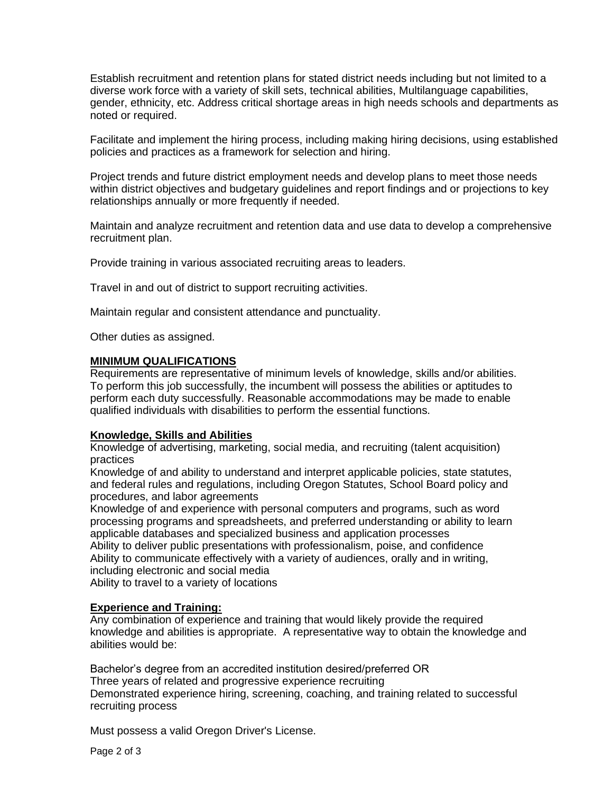Establish recruitment and retention plans for stated district needs including but not limited to a diverse work force with a variety of skill sets, technical abilities, Multilanguage capabilities, gender, ethnicity, etc. Address critical shortage areas in high needs schools and departments as noted or required.

Facilitate and implement the hiring process, including making hiring decisions, using established policies and practices as a framework for selection and hiring.

Project trends and future district employment needs and develop plans to meet those needs within district objectives and budgetary guidelines and report findings and or projections to key relationships annually or more frequently if needed.

Maintain and analyze recruitment and retention data and use data to develop a comprehensive recruitment plan.

Provide training in various associated recruiting areas to leaders.

Travel in and out of district to support recruiting activities.

Maintain regular and consistent attendance and punctuality.

Other duties as assigned.

#### **MINIMUM QUALIFICATIONS**

Requirements are representative of minimum levels of knowledge, skills and/or abilities. To perform this job successfully, the incumbent will possess the abilities or aptitudes to perform each duty successfully. Reasonable accommodations may be made to enable qualified individuals with disabilities to perform the essential functions.

#### **Knowledge, Skills and Abilities**

Knowledge of advertising, marketing, social media, and recruiting (talent acquisition) practices

Knowledge of and ability to understand and interpret applicable policies, state statutes, and federal rules and regulations, including Oregon Statutes, School Board policy and procedures, and labor agreements

Knowledge of and experience with personal computers and programs, such as word processing programs and spreadsheets, and preferred understanding or ability to learn applicable databases and specialized business and application processes Ability to deliver public presentations with professionalism, poise, and confidence Ability to communicate effectively with a variety of audiences, orally and in writing, including electronic and social media

Ability to travel to a variety of locations

### **Experience and Training:**

Any combination of experience and training that would likely provide the required knowledge and abilities is appropriate. A representative way to obtain the knowledge and abilities would be:

Bachelor's degree from an accredited institution desired/preferred OR Three years of related and progressive experience recruiting Demonstrated experience hiring, screening, coaching, and training related to successful recruiting process

Must possess a valid Oregon Driver's License.